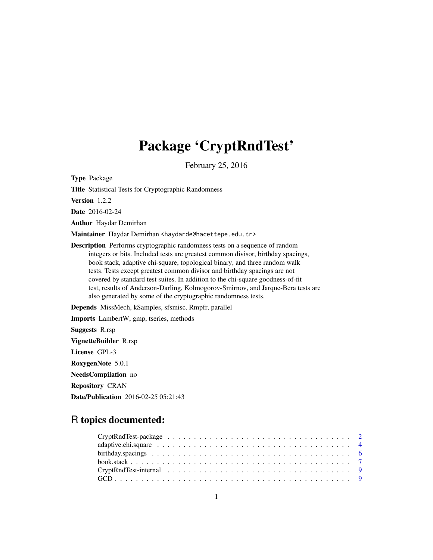# Package 'CryptRndTest'

February 25, 2016

<span id="page-0-0"></span>Type Package Title Statistical Tests for Cryptographic Randomness Version 1.2.2 Date 2016-02-24 Author Haydar Demirhan Maintainer Haydar Demirhan <haydarde@hacettepe.edu.tr> Description Performs cryptographic randomness tests on a sequence of random integers or bits. Included tests are greatest common divisor, birthday spacings, book stack, adaptive chi-square, topological binary, and three random walk tests. Tests except greatest common divisor and birthday spacings are not covered by standard test suites. In addition to the chi-square goodness-of-fit test, results of Anderson-Darling, Kolmogorov-Smirnov, and Jarque-Bera tests are also generated by some of the cryptographic randomness tests. Depends MissMech, kSamples, sfsmisc, Rmpfr, parallel Imports LambertW, gmp, tseries, methods Suggests R.rsp VignetteBuilder R.rsp License GPL-3 RoxygenNote 5.0.1

NeedsCompilation no Repository CRAN

Date/Publication 2016-02-25 05:21:43

## R topics documented: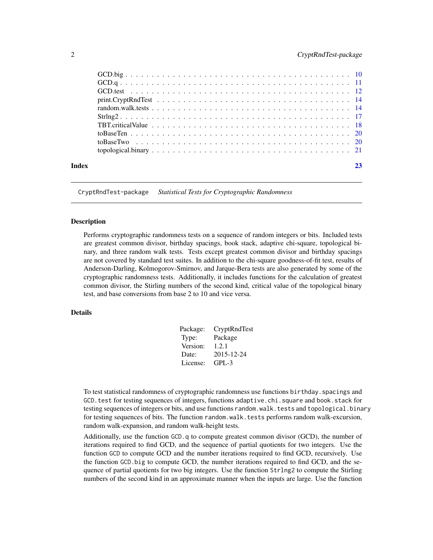<span id="page-1-0"></span>

| Index |  |
|-------|--|
|       |  |
|       |  |
|       |  |
|       |  |
|       |  |
|       |  |
|       |  |
|       |  |
|       |  |
|       |  |

CryptRndTest-package *Statistical Tests for Cryptographic Randomness*

## Description

Performs cryptographic randomness tests on a sequence of random integers or bits. Included tests are greatest common divisor, birthday spacings, book stack, adaptive chi-square, topological binary, and three random walk tests. Tests except greatest common divisor and birthday spacings are not covered by standard test suites. In addition to the chi-square goodness-of-fit test, results of Anderson-Darling, Kolmogorov-Smirnov, and Jarque-Bera tests are also generated by some of the cryptographic randomness tests. Additionally, it includes functions for the calculation of greatest common divisor, the Stirling numbers of the second kind, critical value of the topological binary test, and base conversions from base 2 to 10 and vice versa.

## Details

| Package: | CryptRndTest |
|----------|--------------|
| Type:    | Package      |
| Version: | 1.2.1        |
| Date:    | 2015-12-24   |
| License: | $GPL-3$      |

To test statistical randomness of cryptographic randomness use functions birthday.spacings and GCD.test for testing sequences of integers, functions adaptive.chi.square and book.stack for testing sequences of integers or bits, and use functions random.walk.tests and topological.binary for testing sequences of bits. The function random.walk.tests performs random walk-excursion, random walk-expansion, and random walk-height tests.

Additionally, use the function GCD.q to compute greatest common divisor (GCD), the number of iterations required to find GCD, and the sequence of partial quotients for two integers. Use the function GCD to compute GCD and the number iterations required to find GCD, recursively. Use the function GCD.big to compute GCD, the number iterations required to find GCD, and the sequence of partial quotients for two big integers. Use the function Strlng2 to compute the Stirling numbers of the second kind in an approximate manner when the inputs are large. Use the function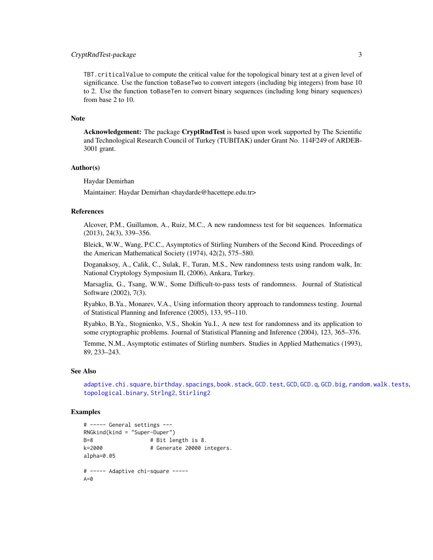## <span id="page-2-0"></span>CryptRndTest-package 3

TBT.criticalValue to compute the critical value for the topological binary test at a given level of significance. Use the function toBaseTwo to convert integers (including big integers) from base 10 to 2. Use the function toBaseTen to convert binary sequences (including long binary sequences) from base 2 to 10.

### **Note**

Acknowledgement: The package CryptRndTest is based upon work supported by The Scientific and Technological Research Council of Turkey (TUBITAK) under Grant No. 114F249 of ARDEB-3001 grant.

## Author(s)

Haydar Demirhan

Maintainer: Haydar Demirhan <haydarde@hacettepe.edu.tr>

### References

Alcover, P.M., Guillamon, A., Ruiz, M.C., A new randomness test for bit sequences. Informatica (2013), 24(3), 339–356.

Bleick, W.W., Wang, P.C.C., Asymptotics of Stirling Numbers of the Second Kind. Proceedings of the American Mathematical Society (1974), 42(2), 575–580.

Doganaksoy, A., Calik, C., Sulak, F., Turan, M.S., New randomness tests using random walk, In: National Cryptology Symposium II, (2006), Ankara, Turkey.

Marsaglia, G., Tsang, W.W., Some Difficult-to-pass tests of randomness. Journal of Statistical Software (2002), 7(3).

Ryabko, B.Ya., Monarev, V.A., Using information theory approach to randomness testing. Journal of Statistical Planning and Inference (2005), 133, 95–110.

Ryabko, B.Ya., Stognienko, V.S., Shokin Yu.I., A new test for randomness and its application to some cryptographic problems. Journal of Statistical Planning and Inference (2004), 123, 365–376.

Temme, N.M., Asymptotic estimates of Stirling numbers. Studies in Applied Mathematics (1993), 89, 233–243.

## See Also

[adaptive.chi.square](#page-3-1), [birthday.spacings](#page-5-1), [book.stack](#page-6-1), [GCD.test](#page-11-1), [GCD](#page-8-1).gCD.q, [GCD.big](#page-9-1), [random.walk.tests](#page-13-1), [topological.binary](#page-20-1), [Strlng2](#page-16-1), [Stirling2](#page-0-0)

```
# ----- General settings ---
RNGkind(kind = "Super-Duper")
B=8 # Bit length is 8.
k=2000 # Generate 20000 integers.
alpha=0.05
# ----- Adaptive chi-square -----
A=0
```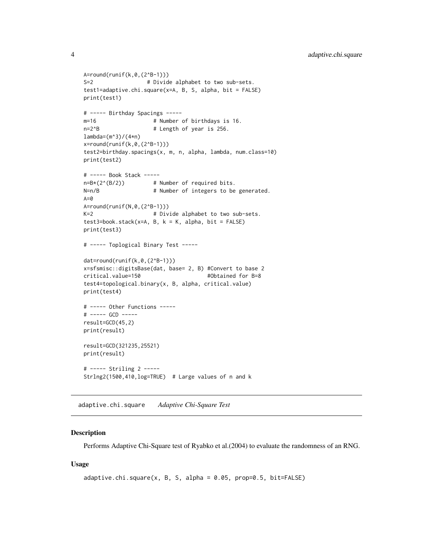```
A=round(runif(k,0,(2^B-1)))
S=2 # Divide alphabet to two sub-sets.
test1=adaptive.chi.square(x=A, B, S, alpha, bit = FALSE)
print(test1)
# ----- Birthday Spacings -----
m=16 # Number of birthdays is 16.
n=2^{8}B # Length of year is 256.
lambda=(m^3)/(4*n)x=round(runif(k,0,(2^B-1)))
test2=birthday.spacings(x, m, n, alpha, lambda, num.class=10)
print(test2)
# ----- Book Stack -----
n=B*(2^(B/2)) # Number of required bits.
N=n/B N=n/B # Number of integers to be generated.
A=0A=round(runif(N,0,(2^B-1)))
K=2 # Divide alphabet to two sub-sets.
test3 = book.setack(x=A, B, k = K, alpha, bit = FALSE)print(test3)
# ----- Toplogical Binary Test -----
dat=round(runif(k,0,(2^B-1)))
x=sfsmisc::digitsBase(dat, base= 2, B) #Convert to base 2
critical.value=150 #Obtained for B=8
test4=topological.binary(x, B, alpha, critical.value)
print(test4)
# ----- Other Functions -----
# ----- GCD -----
result=GCD(45,2)
print(result)
result=GCD(321235,25521)
print(result)
# ----- Striling 2 -----
Strlng2(1500,410,log=TRUE) # Large values of n and k
```
<span id="page-3-1"></span>adaptive.chi.square *Adaptive Chi-Square Test*

## **Description**

Performs Adaptive Chi-Square test of Ryabko et al.(2004) to evaluate the randomness of an RNG.

### Usage

```
adaptive.chi.square(x, B, S, alpha = 0.05, prop=0.5, bit=FALSE)
```
<span id="page-3-0"></span>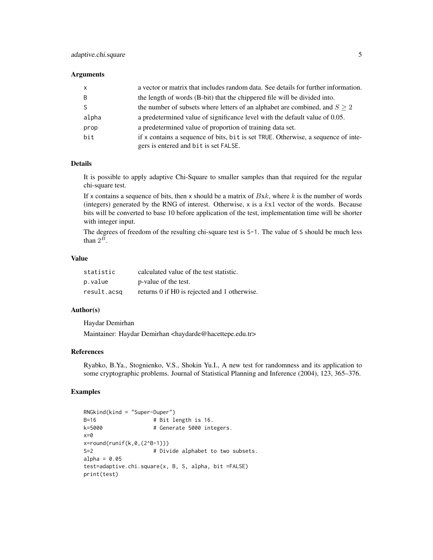### **Arguments**

| X     | a vector or matrix that includes random data. See details for further information.                                         |
|-------|----------------------------------------------------------------------------------------------------------------------------|
| B     | the length of words (B-bit) that the chippered file will be divided into.                                                  |
| S.    | the number of subsets where letters of an alphabet are combined, and $S \geq 2$                                            |
| alpha | a predetermined value of significance level with the default value of 0.05.                                                |
| prop  | a predetermined value of proportion of training data set.                                                                  |
| bit   | if x contains a sequence of bits, bit is set TRUE. Otherwise, a sequence of inte-<br>gers is entered and bit is set FALSE. |

## Details

It is possible to apply adaptive Chi-Square to smaller samples than that required for the regular chi-square test.

If x contains a sequence of bits, then x should be a matrix of  $Bxk$ , where k is the number of words (integers) generated by the RNG of interest. Otherwise,  $x$  is a  $kx1$  vector of the words. Because bits will be converted to base 10 before application of the test, implementation time will be shorter with integer input.

The degrees of freedom of the resulting chi-square test is  $S-1$ . The value of S should be much less than  $2^B$ .

## Value

| statistic   | calculated value of the test statistic.      |
|-------------|----------------------------------------------|
| p.value     | p-value of the test.                         |
| result.acsq | returns 0 if H0 is rejected and 1 otherwise. |

## Author(s)

Haydar Demirhan

Maintainer: Haydar Demirhan <haydarde@hacettepe.edu.tr>

### References

Ryabko, B.Ya., Stognienko, V.S., Shokin Yu.I., A new test for randomness and its application to some cryptographic problems. Journal of Statistical Planning and Inference (2004), 123, 365–376.

```
RNGkind(kind = "Super-Duper")
B=16 # Bit length is 16.
k=5000   # Generate 5000 integers.
x=0x=round(runif(k,0,(2^B-1)))
S=2 # Divide alphabet to two subsets.
alpha = 0.05test=adaptive.chi.square(x, B, S, alpha, bit =FALSE)
print(test)
```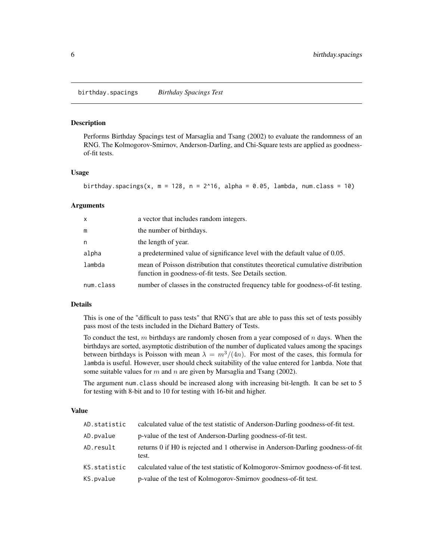### <span id="page-5-1"></span><span id="page-5-0"></span>Description

Performs Birthday Spacings test of Marsaglia and Tsang (2002) to evaluate the randomness of an RNG. The Kolmogorov-Smirnov, Anderson-Darling, and Chi-Square tests are applied as goodnessof-fit tests.

### Usage

```
birthday.spacings(x, m = 128, n = 2^16, alpha = 0.05, lambda, num.class = 10)
```
## Arguments

| $\mathsf{x}$ | a vector that includes random integers.                                                                                                      |
|--------------|----------------------------------------------------------------------------------------------------------------------------------------------|
| m            | the number of birthdays.                                                                                                                     |
| n            | the length of year.                                                                                                                          |
| alpha        | a predetermined value of significance level with the default value of 0.05.                                                                  |
| lambda       | mean of Poisson distribution that constitutes theoretical cumulative distribution<br>function in goodness-of-fit tests. See Details section. |
| num.class    | number of classes in the constructed frequency table for goodness-of-fit testing.                                                            |

## Details

This is one of the "difficult to pass tests" that RNG's that are able to pass this set of tests possibly pass most of the tests included in the Diehard Battery of Tests.

To conduct the test,  $m$  birthdays are randomly chosen from a year composed of  $n$  days. When the birthdays are sorted, asymptotic distribution of the number of duplicated values among the spacings between birthdays is Poisson with mean  $\lambda = m^3/(4n)$ . For most of the cases, this formula for lambda is useful. However, user should check suitability of the value entered for lambda. Note that some suitable values for m and n are given by Marsaglia and Tsang (2002).

The argument num.class should be increased along with increasing bit-length. It can be set to 5 for testing with 8-bit and to 10 for testing with 16-bit and higher.

### Value

| AD.statistic | calculated value of the test statistic of Anderson-Darling goodness-of-fit test.         |
|--------------|------------------------------------------------------------------------------------------|
| AD.pvalue    | p-value of the test of Anderson-Darling goodness-of-fit test.                            |
| AD.result    | returns 0 if H0 is rejected and 1 otherwise in Anderson-Darling goodness-of-fit<br>test. |
| KS.statistic | calculated value of the test statistic of Kolmogorov-Smirnov goodness-of-fit test.       |
| KS.pvalue    | p-value of the test of Kolmogorov-Smirnov goodness-of-fit test.                          |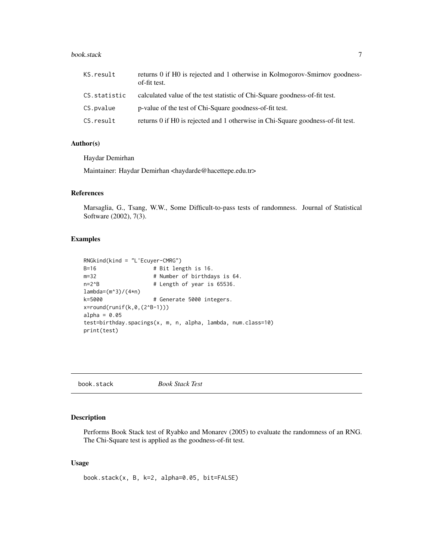### <span id="page-6-0"></span>book.stack 7

| KS.result    | returns 0 if H0 is rejected and 1 otherwise in Kolmogorov-Smirnov goodness-<br>of-fit test. |
|--------------|---------------------------------------------------------------------------------------------|
| CS.statistic | calculated value of the test statistic of Chi-Square goodness-of-fit test.                  |
| CS.pvalue    | p-value of the test of Chi-Square goodness-of-fit test.                                     |
| CS.result    | returns 0 if H0 is rejected and 1 otherwise in Chi-Square goodness-of-fit test.             |

## Author(s)

Haydar Demirhan

Maintainer: Haydar Demirhan <haydarde@hacettepe.edu.tr>

### References

Marsaglia, G., Tsang, W.W., Some Difficult-to-pass tests of randomness. Journal of Statistical Software (2002), 7(3).

## Examples

```
RNGkind(kind = "L'Ecuyer-CMRG")
B=16 # Bit length is 16.
m=32 # Number of birthdays is 64.
n=2^{8}B # Length of year is 65536.
lambda=(m^3)/(4*n)
k=5000   # Generate 5000 integers.
x=round(runif(k,0,(2^B-1)))
alpha = 0.05test=birthday.spacings(x, m, n, alpha, lambda, num.class=10)
print(test)
```
<span id="page-6-1"></span>

| book.stack | <b>Book Stack Test</b> |
|------------|------------------------|
|------------|------------------------|

## Description

Performs Book Stack test of Ryabko and Monarev (2005) to evaluate the randomness of an RNG. The Chi-Square test is applied as the goodness-of-fit test.

## Usage

book.stack(x, B, k=2, alpha=0.05, bit=FALSE)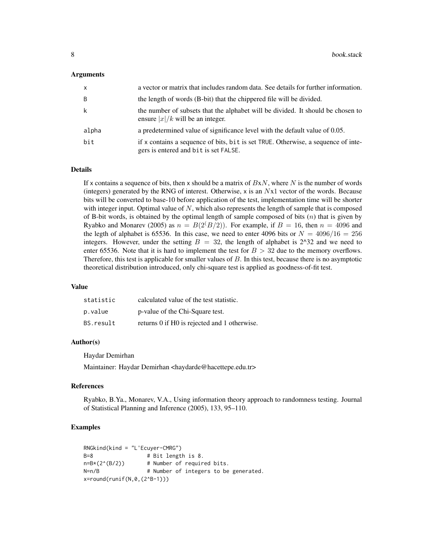### **Arguments**

| x     | a vector or matrix that includes random data. See details for further information.                                         |
|-------|----------------------------------------------------------------------------------------------------------------------------|
| B     | the length of words (B-bit) that the chippered file will be divided.                                                       |
| k     | the number of subsets that the alphabet will be divided. It should be chosen to<br>ensure $ x /k$ will be an integer.      |
| alpha | a predetermined value of significance level with the default value of 0.05.                                                |
| bit   | if x contains a sequence of bits, bit is set TRUE. Otherwise, a sequence of inte-<br>gers is entered and bit is set FALSE. |

### Details

If x contains a sequence of bits, then x should be a matrix of  $BxN$ , where N is the number of words (integers) generated by the RNG of interest. Otherwise, x is an Nx1 vector of the words. Because bits will be converted to base-10 before application of the test, implementation time will be shorter with integer input. Optimal value of  $N$ , which also represents the length of sample that is composed of B-bit words, is obtained by the optimal length of sample composed of bits  $(n)$  that is given by Ryabko and Monarev (2005) as  $n = B(2^{(1)}B/2)$ . For example, if  $B = 16$ , then  $n = 4096$  and the legth of alphabet is 65536. In this case, we need to enter 4096 bits or  $N = 4096/16 = 256$ integers. However, under the setting  $B = 32$ , the length of alphabet is 2^32 and we need to enter 65536. Note that it is hard to implement the test for  $B > 32$  due to the memory overflows. Therefore, this test is applicable for smaller values of B. In this test, because there is no asymptotic theoretical distribution introduced, only chi-square test is applied as goodness-of-fit test.

### Value

| statistic | calculated value of the test statistic.      |
|-----------|----------------------------------------------|
| p.value   | p-value of the Chi-Square test.              |
| BS.result | returns 0 if H0 is rejected and 1 otherwise. |

## Author(s)

Haydar Demirhan

Maintainer: Haydar Demirhan <haydarde@hacettepe.edu.tr>

### References

Ryabko, B.Ya., Monarev, V.A., Using information theory approach to randomness testing. Journal of Statistical Planning and Inference (2005), 133, 95–110.

```
RNGkind(kind = "L'Ecuyer-CMRG")
B=8 # Bit length is 8.
n=B*(2^(B/2)) # Number of required bits.
N=n/B # Number of integers to be generated.
x=round(runif(N,0,(2^B-1)))
```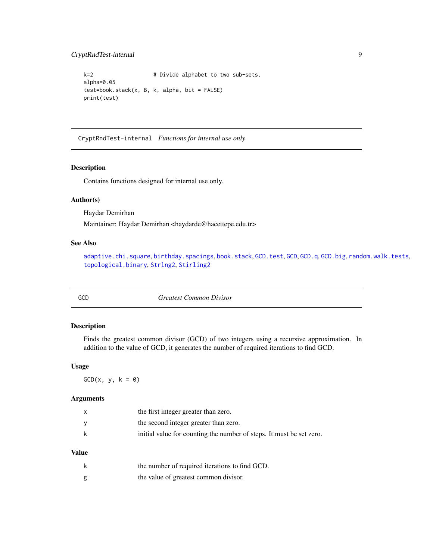## <span id="page-8-0"></span>CryptRndTest-internal 9

```
k=2 # Divide alphabet to two sub-sets.
alpha=0.05
test=book.stack(x, B, k, alpha, bit = FALSE)
print(test)
```
CryptRndTest-internal *Functions for internal use only*

## Description

Contains functions designed for internal use only.

### Author(s)

Haydar Demirhan

Maintainer: Haydar Demirhan <haydarde@hacettepe.edu.tr>

## See Also

[adaptive.chi.square](#page-3-1), [birthday.spacings](#page-5-1), [book.stack](#page-6-1), [GCD.test](#page-11-1), [GCD](#page-8-1).[GCD.q](#page-10-1), [GCD.big](#page-9-1), [random.walk.tests](#page-13-1), [topological.binary](#page-20-1), [Strlng2](#page-16-1), [Stirling2](#page-0-0)

<span id="page-8-1"></span>GCD *Greatest Common Divisor*

## Description

Finds the greatest common divisor (GCD) of two integers using a recursive approximation. In addition to the value of GCD, it generates the number of required iterations to find GCD.

## Usage

 $GCD(x, y, k = 0)$ 

## Arguments

| $\mathsf{x}$ | the first integer greater than zero.                                 |
|--------------|----------------------------------------------------------------------|
| <b>V</b>     | the second integer greater than zero.                                |
| k            | initial value for counting the number of steps. It must be set zero. |

## Value

| k | the number of required iterations to find GCD. |
|---|------------------------------------------------|
| g | the value of greatest common divisor.          |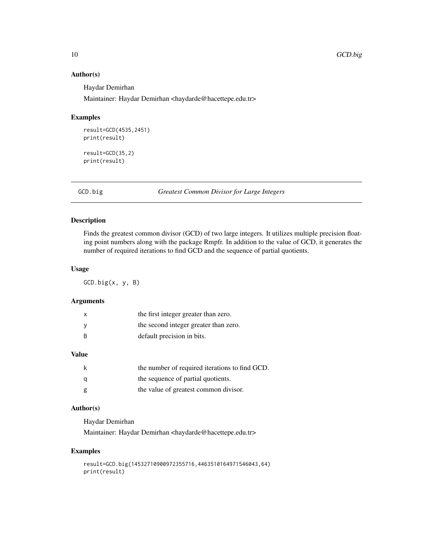## Author(s)

Haydar Demirhan

Maintainer: Haydar Demirhan <haydarde@hacettepe.edu.tr>

## Examples

```
result=GCD(4535,2451)
print(result)
result=GCD(35,2)
print(result)
```
<span id="page-9-1"></span>GCD.big *Greatest Common Divisor for Large Integers*

## Description

Finds the greatest common divisor (GCD) of two large integers. It utilizes multiple precision floating point numbers along with the package Rmpfr. In addition to the value of GCD, it generates the number of required iterations to find GCD and the sequence of partial quotients.

## Usage

GCD.big(x, y, B)

## Arguments

| х   | the first integer greater than zero.  |
|-----|---------------------------------------|
|     | the second integer greater than zero. |
| - R | default precision in bits.            |

## Value

|   | the number of required iterations to find GCD. |
|---|------------------------------------------------|
| a | the sequence of partial quotients.             |
| g | the value of greatest common divisor.          |

## Author(s)

Haydar Demirhan

Maintainer: Haydar Demirhan <haydarde@hacettepe.edu.tr>

```
result=GCD.big(14532710900972355716,4463510164971546043,64)
print(result)
```
<span id="page-9-0"></span>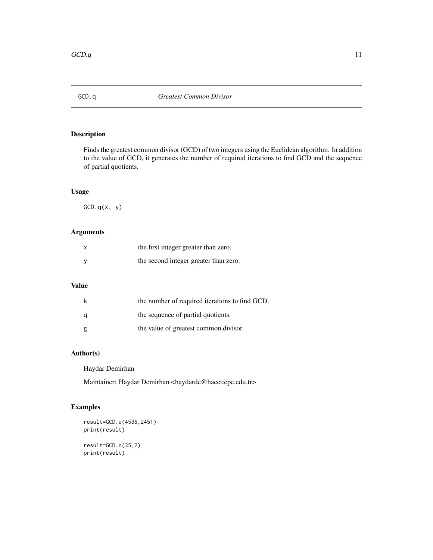<span id="page-10-1"></span><span id="page-10-0"></span>

## Description

Finds the greatest common divisor (GCD) of two integers using the Euclidean algorithm. In addition to the value of GCD, it generates the number of required iterations to find GCD and the sequence of partial quotients.

## Usage

 $GCD.q(x, y)$ 

## Arguments

| $\mathsf{x}$ | the first integer greater than zero.  |
|--------------|---------------------------------------|
| <b>V</b>     | the second integer greater than zero. |

## Value

| k | the number of required iterations to find GCD. |
|---|------------------------------------------------|
| a | the sequence of partial quotients.             |
| g | the value of greatest common divisor.          |

## Author(s)

Haydar Demirhan

Maintainer: Haydar Demirhan <haydarde@hacettepe.edu.tr>

## Examples

```
result=GCD.q(4535,2451)
print(result)
```
result=GCD.q(35,2) print(result)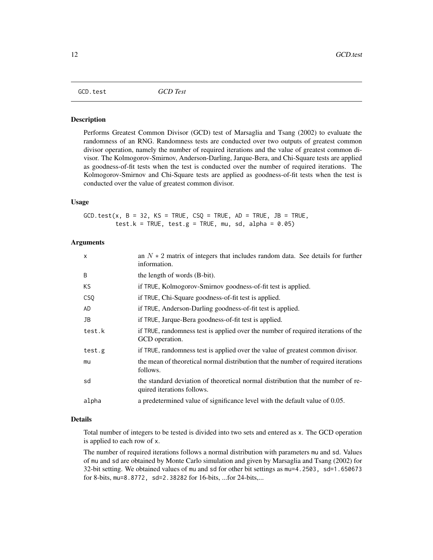### <span id="page-11-1"></span><span id="page-11-0"></span>Description

Performs Greatest Common Divisor (GCD) test of Marsaglia and Tsang (2002) to evaluate the randomness of an RNG. Randomness tests are conducted over two outputs of greatest common divisor operation, namely the number of required iterations and the value of greatest common divisor. The Kolmogorov-Smirnov, Anderson-Darling, Jarque-Bera, and Chi-Square tests are applied as goodness-of-fit tests when the test is conducted over the number of required iterations. The Kolmogorov-Smirnov and Chi-Square tests are applied as goodness-of-fit tests when the test is conducted over the value of greatest common divisor.

## Usage

 $GCD.test(x, B = 32, KS = TRUE, CSQ = TRUE, AD = TRUE, JB = TRUE,$ test.k = TRUE, test.g = TRUE, mu, sd, alpha =  $0.05$ )

## Arguments

| $\mathsf{x}$ | an $N \times 2$ matrix of integers that includes random data. See details for further<br>information.          |
|--------------|----------------------------------------------------------------------------------------------------------------|
| B            | the length of words (B-bit).                                                                                   |
| KS           | if TRUE, Kolmogorov-Smirnov goodness-of-fit test is applied.                                                   |
| <b>CSQ</b>   | if TRUE, Chi-Square goodness-of-fit test is applied.                                                           |
| AD           | if TRUE, Anderson-Darling goodness-of-fit test is applied.                                                     |
| JB           | if TRUE, Jarque-Bera goodness-of-fit test is applied.                                                          |
| test.k       | if TRUE, randomness test is applied over the number of required iterations of the<br>GCD operation.            |
| test.g       | if TRUE, randomness test is applied over the value of greatest common divisor.                                 |
| mu           | the mean of theoretical normal distribution that the number of required iterations<br>follows.                 |
| sd           | the standard deviation of theoretical normal distribution that the number of re-<br>quired iterations follows. |
| alpha        | a predetermined value of significance level with the default value of 0.05.                                    |

## Details

Total number of integers to be tested is divided into two sets and entered as x. The GCD operation is applied to each row of x.

The number of required iterations follows a normal distribution with parameters mu and sd. Values of mu and sd are obtained by Monte Carlo simulation and given by Marsaglia and Tsang (2002) for 32-bit setting. We obtained values of mu and sd for other bit settings as mu=4.2503, sd=1.650673 for 8-bits, mu=8.8772, sd=2.38282 for 16-bits, ...for 24-bits,...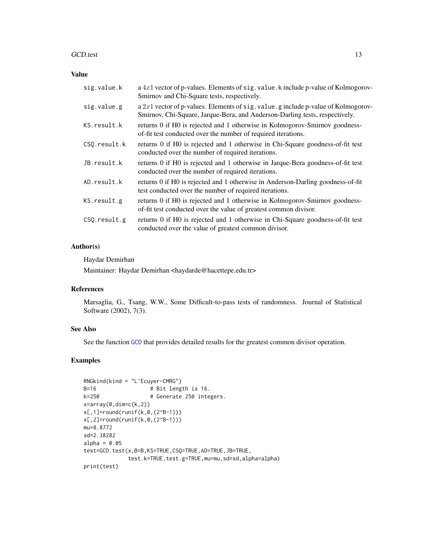## <span id="page-12-0"></span>GCD.test 13

## Value

| sig.value.k   | a $4x1$ vector of p-values. Elements of sig. value. k include p-value of Kolmogorov-<br>Smirnov and Chi-Square tests, respectively.                                 |
|---------------|---------------------------------------------------------------------------------------------------------------------------------------------------------------------|
| sig.value.g   | a $2x1$ vector of p-values. Elements of sig. value. g include p-value of Kolmogorov-<br>Smirnov, Chi-Square, Jarque-Bera, and Anderson-Darling tests, respectively. |
| KS.result.k   | returns 0 if H0 is rejected and 1 otherwise in Kolmogorov-Smirnov goodness-<br>of-fit test conducted over the number of required iterations.                        |
| CSO.result.k  | returns 0 if H0 is rejected and 1 otherwise in Chi-Square goodness-of-fit test<br>conducted over the number of required iterations.                                 |
| JB.result.k   | returns 0 if H0 is rejected and 1 otherwise in Jarque-Bera goodness-of-fit test<br>conducted over the number of required iterations.                                |
| AD.result.k   | returns 0 if H0 is rejected and 1 otherwise in Anderson-Darling goodness-of-fit<br>test conducted over the number of required iterations.                           |
| KS.result.g   | returns 0 if H0 is rejected and 1 otherwise in Kolmogorov-Smirnov goodness-<br>of-fit test conducted over the value of greatest common divisor.                     |
| CSO. result.g | returns 0 if H0 is rejected and 1 otherwise in Chi-Square goodness-of-fit test<br>conducted over the value of greatest common divisor.                              |

## Author(s)

Haydar Demirhan

Maintainer: Haydar Demirhan <haydarde@hacettepe.edu.tr>

## References

Marsaglia, G., Tsang, W.W., Some Difficult-to-pass tests of randomness. Journal of Statistical Software (2002), 7(3).

## See Also

See the function [GCD](#page-8-1) that provides detailed results for the greatest common divisor operation.

```
RNGkind(kind = "L'Ecuyer-CMRG")
B=16 # Bit length is 16.<br>k=250 # Generate 250 inte
                      # Generate 250 integers.
x=array(0,dim=c(k,2))
x[,1]=round(runif(k,0,(2^B-1)))
x[,2]=round(runif(k,0,(2^B-1)))
mu=8.8772
sd=2.38282
alpha = 0.05test=GCD.test(x,B=B,KS=TRUE,CSQ=TRUE,AD=TRUE,JB=TRUE,
               test.k=TRUE, test.g=TRUE, mu=mu, sd=sd, alpha=alpha)
print(test)
```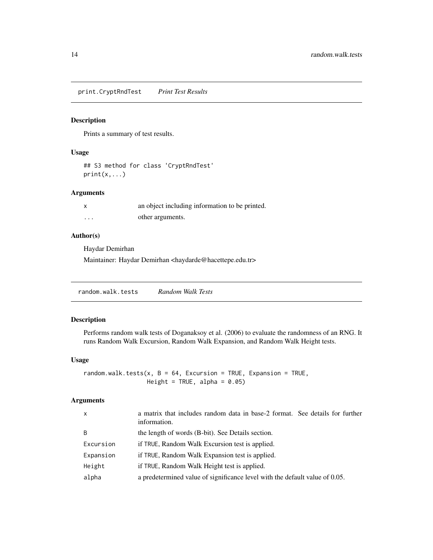<span id="page-13-0"></span>print.CryptRndTest *Print Test Results*

## Description

Prints a summary of test results.

## Usage

```
## S3 method for class 'CryptRndTest'
print(x, \ldots)
```
## Arguments

|          | an object including information to be printed. |
|----------|------------------------------------------------|
| $\cdots$ | other arguments.                               |

## Author(s)

Haydar Demirhan

Maintainer: Haydar Demirhan <haydarde@hacettepe.edu.tr>

<span id="page-13-1"></span>

## Description

Performs random walk tests of Doganaksoy et al. (2006) to evaluate the randomness of an RNG. It runs Random Walk Excursion, Random Walk Expansion, and Random Walk Height tests.

### Usage

random.walk.tests(x,  $B = 64$ , Excursion = TRUE, Expansion = TRUE, Height = TRUE, alpha =  $0.05$ )

## Arguments

| $\mathsf{x}$ | a matrix that includes random data in base-2 format. See details for further<br>information. |
|--------------|----------------------------------------------------------------------------------------------|
| B            | the length of words (B-bit). See Details section.                                            |
| Excursion    | if TRUE, Random Walk Excursion test is applied.                                              |
| Expansion    | if TRUE, Random Walk Expansion test is applied.                                              |
| Height       | if TRUE, Random Walk Height test is applied.                                                 |
| alpha        | a predetermined value of significance level with the default value of 0.05.                  |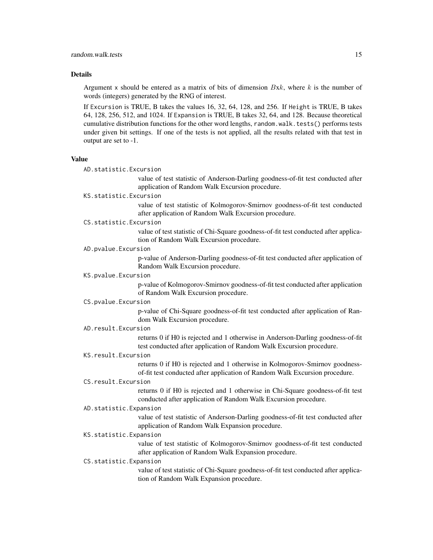## Details

Argument x should be entered as a matrix of bits of dimension  $Bxk$ , where k is the number of words (integers) generated by the RNG of interest.

If Excursion is TRUE, B takes the values 16, 32, 64, 128, and 256. If Height is TRUE, B takes 64, 128, 256, 512, and 1024. If Expansion is TRUE, B takes 32, 64, and 128. Because theoretical cumulative distribution functions for the other word lengths, random.walk.tests() performs tests under given bit settings. If one of the tests is not applied, all the results related with that test in output are set to -1.

### Value

AD.statistic.Excursion

value of test statistic of Anderson-Darling goodness-of-fit test conducted after application of Random Walk Excursion procedure.

### KS.statistic.Excursion

value of test statistic of Kolmogorov-Smirnov goodness-of-fit test conducted after application of Random Walk Excursion procedure.

### CS.statistic.Excursion

value of test statistic of Chi-Square goodness-of-fit test conducted after application of Random Walk Excursion procedure.

### AD.pvalue.Excursion

p-value of Anderson-Darling goodness-of-fit test conducted after application of Random Walk Excursion procedure.

### KS.pvalue.Excursion

p-value of Kolmogorov-Smirnov goodness-of-fit test conducted after application of Random Walk Excursion procedure.

## CS.pvalue.Excursion

p-value of Chi-Square goodness-of-fit test conducted after application of Random Walk Excursion procedure.

### AD.result.Excursion

returns 0 if H0 is rejected and 1 otherwise in Anderson-Darling goodness-of-fit test conducted after application of Random Walk Excursion procedure.

### KS.result.Excursion

returns 0 if H0 is rejected and 1 otherwise in Kolmogorov-Smirnov goodnessof-fit test conducted after application of Random Walk Excursion procedure.

### CS.result.Excursion

returns 0 if H0 is rejected and 1 otherwise in Chi-Square goodness-of-fit test conducted after application of Random Walk Excursion procedure.

## AD.statistic.Expansion

value of test statistic of Anderson-Darling goodness-of-fit test conducted after application of Random Walk Expansion procedure.

### KS.statistic.Expansion

value of test statistic of Kolmogorov-Smirnov goodness-of-fit test conducted after application of Random Walk Expansion procedure.

### CS.statistic.Expansion

value of test statistic of Chi-Square goodness-of-fit test conducted after application of Random Walk Expansion procedure.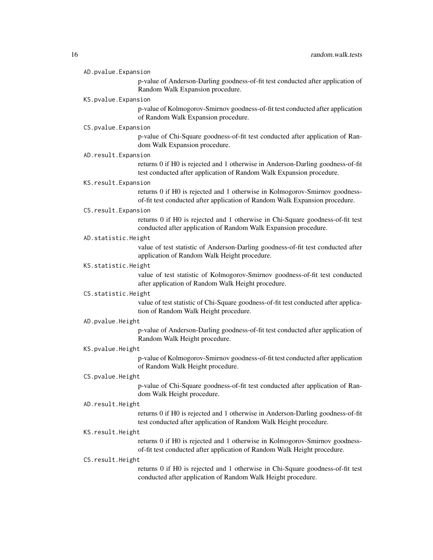| AD.pvalue.Expansion |  |
|---------------------|--|
|                     |  |

p-value of Anderson-Darling goodness-of-fit test conducted after application of Random Walk Expansion procedure.

### KS.pvalue.Expansion

p-value of Kolmogorov-Smirnov goodness-of-fit test conducted after application of Random Walk Expansion procedure.

### CS.pvalue.Expansion

p-value of Chi-Square goodness-of-fit test conducted after application of Random Walk Expansion procedure.

### AD.result.Expansion

returns 0 if H0 is rejected and 1 otherwise in Anderson-Darling goodness-of-fit test conducted after application of Random Walk Expansion procedure.

### KS.result.Expansion

returns 0 if H0 is rejected and 1 otherwise in Kolmogorov-Smirnov goodnessof-fit test conducted after application of Random Walk Expansion procedure.

### CS.result.Expansion

returns 0 if H0 is rejected and 1 otherwise in Chi-Square goodness-of-fit test conducted after application of Random Walk Expansion procedure.

### AD.statistic.Height

value of test statistic of Anderson-Darling goodness-of-fit test conducted after application of Random Walk Height procedure.

### KS.statistic.Height

value of test statistic of Kolmogorov-Smirnov goodness-of-fit test conducted after application of Random Walk Height procedure.

### CS.statistic.Height

value of test statistic of Chi-Square goodness-of-fit test conducted after application of Random Walk Height procedure.

### AD.pvalue.Height

p-value of Anderson-Darling goodness-of-fit test conducted after application of Random Walk Height procedure.

## KS.pvalue.Height

p-value of Kolmogorov-Smirnov goodness-of-fit test conducted after application of Random Walk Height procedure.

### CS.pvalue.Height

p-value of Chi-Square goodness-of-fit test conducted after application of Random Walk Height procedure.

### AD.result.Height

returns 0 if H0 is rejected and 1 otherwise in Anderson-Darling goodness-of-fit test conducted after application of Random Walk Height procedure.

## KS.result.Height

returns 0 if H0 is rejected and 1 otherwise in Kolmogorov-Smirnov goodnessof-fit test conducted after application of Random Walk Height procedure.

## CS.result.Height

returns 0 if H0 is rejected and 1 otherwise in Chi-Square goodness-of-fit test conducted after application of Random Walk Height procedure.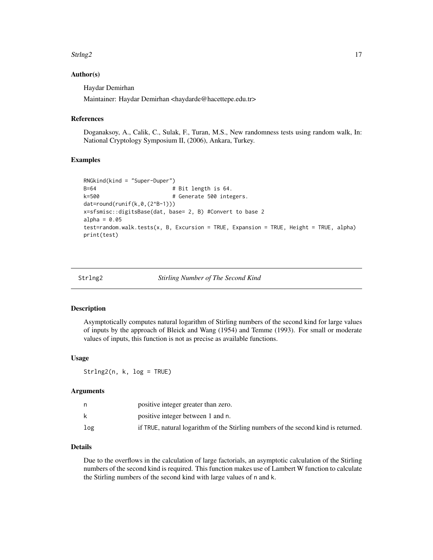### <span id="page-16-0"></span> $Strln g2$  17

## Author(s)

Haydar Demirhan

Maintainer: Haydar Demirhan <haydarde@hacettepe.edu.tr>

### References

Doganaksoy, A., Calik, C., Sulak, F., Turan, M.S., New randomness tests using random walk, In: National Cryptology Symposium II, (2006), Ankara, Turkey.

## Examples

```
RNGkind(kind = "Super-Duper")
B=64 # Bit length is 64.
k=500 # Generate 500 integers.
dat=round(runif(k,0,(2^B-1)))
x=sfsmisc::digitsBase(dat, base= 2, B) #Convert to base 2
alpha = 0.05test=random.walk.tests(x, B, Excursion = TRUE, Expansion = TRUE, Height = TRUE, alpha)
print(test)
```
<span id="page-16-1"></span>

Strlng2 *Stirling Number of The Second Kind*

### Description

Asymptotically computes natural logarithm of Stirling numbers of the second kind for large values of inputs by the approach of Bleick and Wang (1954) and Temme (1993). For small or moderate values of inputs, this function is not as precise as available functions.

### Usage

Strlng2(n, k, log = TRUE)

### Arguments

|     | positive integer greater than zero.                                                |
|-----|------------------------------------------------------------------------------------|
| k   | positive integer between 1 and n.                                                  |
| log | if TRUE, natural logarithm of the Stirling numbers of the second kind is returned. |

## Details

Due to the overflows in the calculation of large factorials, an asymptotic calculation of the Stirling numbers of the second kind is required. This function makes use of Lambert W function to calculate the Stirling numbers of the second kind with large values of n and k.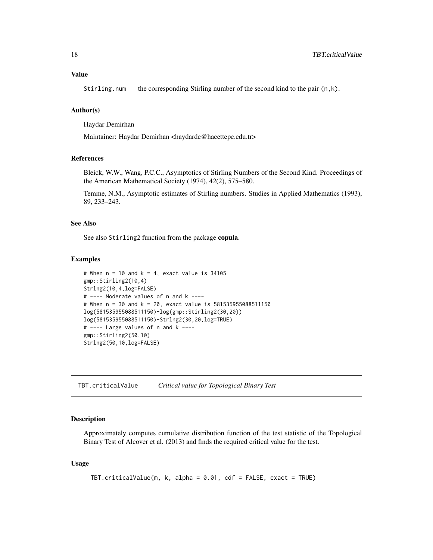## <span id="page-17-0"></span>Value

Stirling.num the corresponding Stirling number of the second kind to the pair  $(n, k)$ .

## Author(s)

Haydar Demirhan

Maintainer: Haydar Demirhan <haydarde@hacettepe.edu.tr>

### References

Bleick, W.W., Wang, P.C.C., Asymptotics of Stirling Numbers of the Second Kind. Proceedings of the American Mathematical Society (1974), 42(2), 575–580.

Temme, N.M., Asymptotic estimates of Stirling numbers. Studies in Applied Mathematics (1993), 89, 233–243.

### See Also

See also Stirling2 function from the package copula.

### Examples

```
# When n = 10 and k = 4, exact value is 34105
gmp::Stirling2(10,4)
Strlng2(10,4,log=FALSE)
# ---- Moderate values of n and k ----
# When n = 30 and k = 20, exact value is 581535955088511150
log(581535955088511150)-log(gmp::Stirling2(30,20))
log(581535955088511150)-Strlng2(30,20,log=TRUE)
# ---- Large values of n and k ----
gmp::Stirling2(50,10)
Strlng2(50,10,log=FALSE)
```
TBT.criticalValue *Critical value for Topological Binary Test*

## Description

Approximately computes cumulative distribution function of the test statistic of the Topological Binary Test of Alcover et al. (2013) and finds the required critical value for the test.

## Usage

```
TBT.criticalValue(m, k, alpha = 0.01, cdf = FALSE, exact = TRUE)
```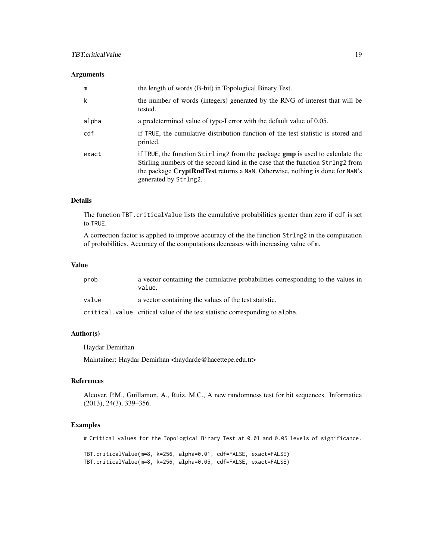## TBT.criticalValue 19

## Arguments

| m     | the length of words (B-bit) in Topological Binary Test.                                                                                                                                                                                                                          |
|-------|----------------------------------------------------------------------------------------------------------------------------------------------------------------------------------------------------------------------------------------------------------------------------------|
| k     | the number of words (integers) generated by the RNG of interest that will be<br>tested.                                                                                                                                                                                          |
| alpha | a predetermined value of type-I error with the default value of 0.05.                                                                                                                                                                                                            |
| cdf   | if TRUE, the cumulative distribution function of the test statistic is stored and<br>printed.                                                                                                                                                                                    |
| exact | if TRUE, the function Stirling 2 from the package <b>gmp</b> is used to calculate the<br>Stirling numbers of the second kind in the case that the function Strlng2 from<br>the package CryptRndTest returns a NaN. Otherwise, nothing is done for NaN's<br>generated by Strlng2. |

## Details

The function TBT.criticalValue lists the cumulative probabilities greater than zero if cdf is set to TRUE.

A correction factor is applied to improve accuracy of the the function Strlng2 in the computation of probabilities. Accuracy of the computations decreases with increasing value of m.

## Value

| prob  | a vector containing the cumulative probabilities corresponding to the values in<br>value. |
|-------|-------------------------------------------------------------------------------------------|
| value | a vector containing the values of the test statistic.                                     |
|       | critical value critical value of the test statistic corresponding to alpha.               |

### Author(s)

Haydar Demirhan

Maintainer: Haydar Demirhan <haydarde@hacettepe.edu.tr>

## References

Alcover, P.M., Guillamon, A., Ruiz, M.C., A new randomness test for bit sequences. Informatica (2013), 24(3), 339–356.

## Examples

# Critical values for the Topological Binary Test at 0.01 and 0.05 levels of significance.

TBT.criticalValue(m=8, k=256, alpha=0.01, cdf=FALSE, exact=FALSE) TBT.criticalValue(m=8, k=256, alpha=0.05, cdf=FALSE, exact=FALSE)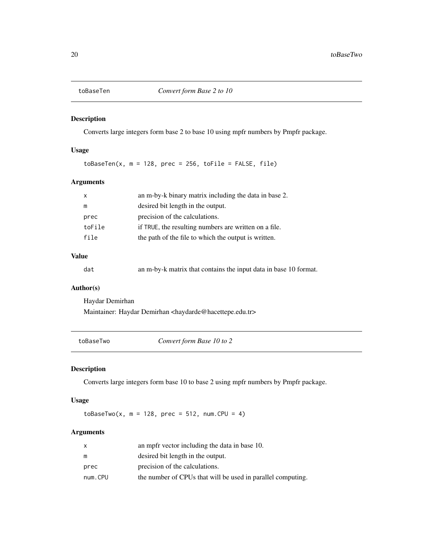<span id="page-19-0"></span>

## Description

Converts large integers form base 2 to base 10 using mpfr numbers by Pmpfr package.

## Usage

 $to$ BaseTen(x,  $m = 128$ , prec = 256, toFile = FALSE, file)

## Arguments

| X      | an m-by-k binary matrix including the data in base 2. |
|--------|-------------------------------------------------------|
| m      | desired bit length in the output.                     |
| prec   | precision of the calculations.                        |
| toFile | if TRUE, the resulting numbers are written on a file. |
| file   | the path of the file to which the output is written.  |
|        |                                                       |

## Value

dat an m-by-k matrix that contains the input data in base 10 format.

## Author(s)

Haydar Demirhan

Maintainer: Haydar Demirhan <haydarde@hacettepe.edu.tr>

toBaseTwo *Convert form Base 10 to 2*

## Description

Converts large integers form base 10 to base 2 using mpfr numbers by Pmpfr package.

## Usage

toBaseTwo(x,  $m = 128$ , prec = 512, num.CPU = 4)

## Arguments

| x       | an mpfr vector including the data in base 10.               |
|---------|-------------------------------------------------------------|
| m       | desired bit length in the output.                           |
| prec    | precision of the calculations.                              |
| num.CPU | the number of CPUs that will be used in parallel computing. |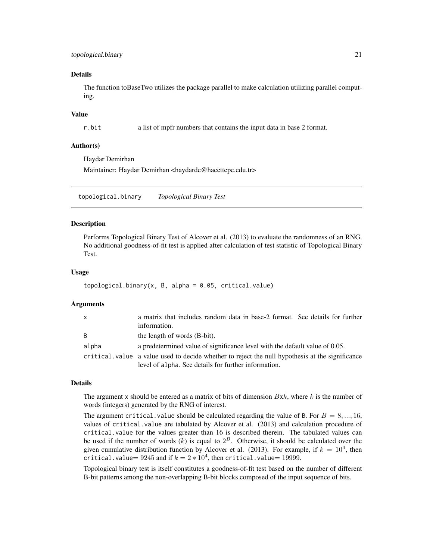## <span id="page-20-0"></span>topological.binary 21

### Details

The function toBaseTwo utilizes the package parallel to make calculation utilizing parallel computing.

## Value

r.bit a list of mpfr numbers that contains the input data in base 2 format.

### Author(s)

Haydar Demirhan

Maintainer: Haydar Demirhan <haydarde@hacettepe.edu.tr>

<span id="page-20-1"></span>topological.binary *Topological Binary Test*

### Description

Performs Topological Binary Test of Alcover et al. (2013) to evaluate the randomness of an RNG. No additional goodness-of-fit test is applied after calculation of test statistic of Topological Binary Test.

## Usage

```
topological.binary(x, B, alpha = 0.05, critical.value)
```
## Arguments

| $\mathsf{x}$ | a matrix that includes random data in base-2 format. See details for further<br>information.                                                            |  |
|--------------|---------------------------------------------------------------------------------------------------------------------------------------------------------|--|
| B            | the length of words (B-bit).                                                                                                                            |  |
| alpha        | a predetermined value of significance level with the default value of 0.05.                                                                             |  |
|              | critical value a value used to decide whether to reject the null hypothesis at the significance<br>level of alpha. See details for further information. |  |

### Details

The argument x should be entered as a matrix of bits of dimension  $Bxk$ , where k is the number of words (integers) generated by the RNG of interest.

The argument critical.value should be calculated regarding the value of B. For  $B = 8, ..., 16$ , values of critical.value are tabulated by Alcover et al. (2013) and calculation procedure of critical.value for the values greater than 16 is described therein. The tabulated values can be used if the number of words  $(k)$  is equal to  $2^B$ . Otherwise, it should be calculated over the given cumulative distribution function by Alcover et al. (2013). For example, if  $k = 10<sup>4</sup>$ , then <code>critical.value</code> $= 9245$  and if  $k = 2*10^4$ , then <code>critical.value</code>  $= 19999$ .

Topological binary test is itself constitutes a goodness-of-fit test based on the number of different B-bit patterns among the non-overlapping B-bit blocks composed of the input sequence of bits.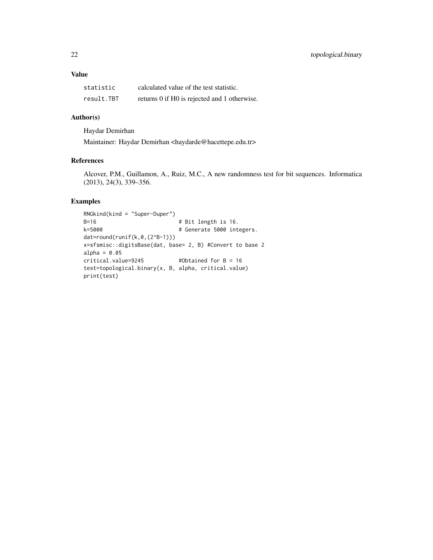## Value

| statistic  | calculated value of the test statistic.      |
|------------|----------------------------------------------|
| result.TBT | returns 0 if H0 is rejected and 1 otherwise. |

## Author(s)

Haydar Demirhan

Maintainer: Haydar Demirhan <haydarde@hacettepe.edu.tr>

## References

Alcover, P.M., Guillamon, A., Ruiz, M.C., A new randomness test for bit sequences. Informatica (2013), 24(3), 339–356.

```
RNGkind(kind = "Super-Duper")
B=16 # Bit length is 16.
k=5000 and # 4 Generate 5000 integers.
dat=round(runif(k,0,(2^B-1)))
x=sfsmisc::digitsBase(dat, base= 2, B) #Convert to base 2
alpha = 0.05critical.value=9245 #Obtained for B = 16
test=topological.binary(x, B, alpha, critical.value)
print(test)
```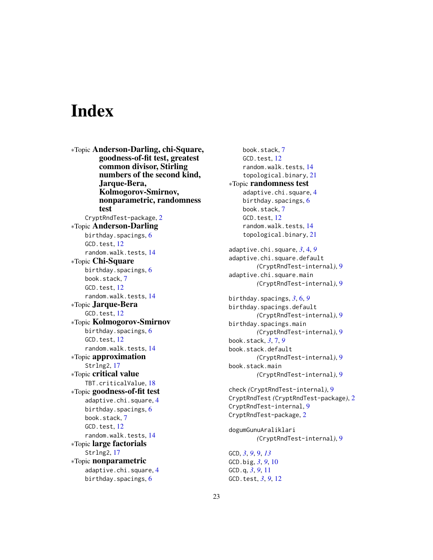# <span id="page-22-0"></span>**Index**

∗Topic Anderson-Darling, chi-Square, goodness-of-fit test, greatest common divisor, Stirling numbers of the second kind, Jarque-Bera, Kolmogorov-Smirnov, nonparametric, randomness test CryptRndTest-package, [2](#page-1-0) ∗Topic Anderson-Darling birthday.spacings, [6](#page-5-0) GCD.test, [12](#page-11-0) random.walk.tests, [14](#page-13-0) ∗Topic Chi-Square birthday.spacings, [6](#page-5-0) book.stack, [7](#page-6-0) GCD.test, [12](#page-11-0) random.walk.tests, [14](#page-13-0) ∗Topic Jarque-Bera GCD.test, [12](#page-11-0) ∗Topic Kolmogorov-Smirnov birthday.spacings, [6](#page-5-0) GCD.test, [12](#page-11-0) random.walk.tests, [14](#page-13-0) ∗Topic approximation Strlng2, [17](#page-16-0) ∗Topic critical value TBT.criticalValue, [18](#page-17-0) ∗Topic goodness-of-fit test adaptive.chi.square, [4](#page-3-0) birthday.spacings, [6](#page-5-0) book.stack, [7](#page-6-0) GCD.test, [12](#page-11-0) random.walk.tests, [14](#page-13-0) ∗Topic large factorials Strlng2, [17](#page-16-0) ∗Topic nonparametric adaptive.chi.square, [4](#page-3-0) birthday.spacings, [6](#page-5-0)

book.stack, [7](#page-6-0) GCD.test, [12](#page-11-0) random.walk.tests, [14](#page-13-0) topological.binary, [21](#page-20-0) ∗Topic randomness test adaptive.chi.square, [4](#page-3-0) birthday.spacings, [6](#page-5-0) book.stack, [7](#page-6-0) GCD.test, [12](#page-11-0) random.walk.tests, [14](#page-13-0) topological.binary, [21](#page-20-0) adaptive.chi.square, *[3](#page-2-0)*, [4,](#page-3-0) *[9](#page-8-0)* adaptive.chi.square.default *(*CryptRndTest-internal*)*, [9](#page-8-0) adaptive.chi.square.main *(*CryptRndTest-internal*)*, [9](#page-8-0) birthday.spacings, *[3](#page-2-0)*, [6,](#page-5-0) *[9](#page-8-0)* birthday.spacings.default *(*CryptRndTest-internal*)*, [9](#page-8-0) birthday.spacings.main *(*CryptRndTest-internal*)*, [9](#page-8-0) book.stack, *[3](#page-2-0)*, [7,](#page-6-0) *[9](#page-8-0)* book.stack.default *(*CryptRndTest-internal*)*, [9](#page-8-0) book.stack.main *(*CryptRndTest-internal*)*, [9](#page-8-0) check *(*CryptRndTest-internal*)*, [9](#page-8-0) CryptRndTest *(*CryptRndTest-package*)*, [2](#page-1-0) CryptRndTest-internal, [9](#page-8-0) CryptRndTest-package, [2](#page-1-0) dogumGunuAraliklari *(*CryptRndTest-internal*)*, [9](#page-8-0) GCD, *[3](#page-2-0)*, *[9](#page-8-0)*, [9,](#page-8-0) *[13](#page-12-0)* GCD.big, *[3](#page-2-0)*, *[9](#page-8-0)*, [10](#page-9-0) GCD.q, *[3](#page-2-0)*, *[9](#page-8-0)*, [11](#page-10-0) GCD.test, *[3](#page-2-0)*, *[9](#page-8-0)*, [12](#page-11-0)